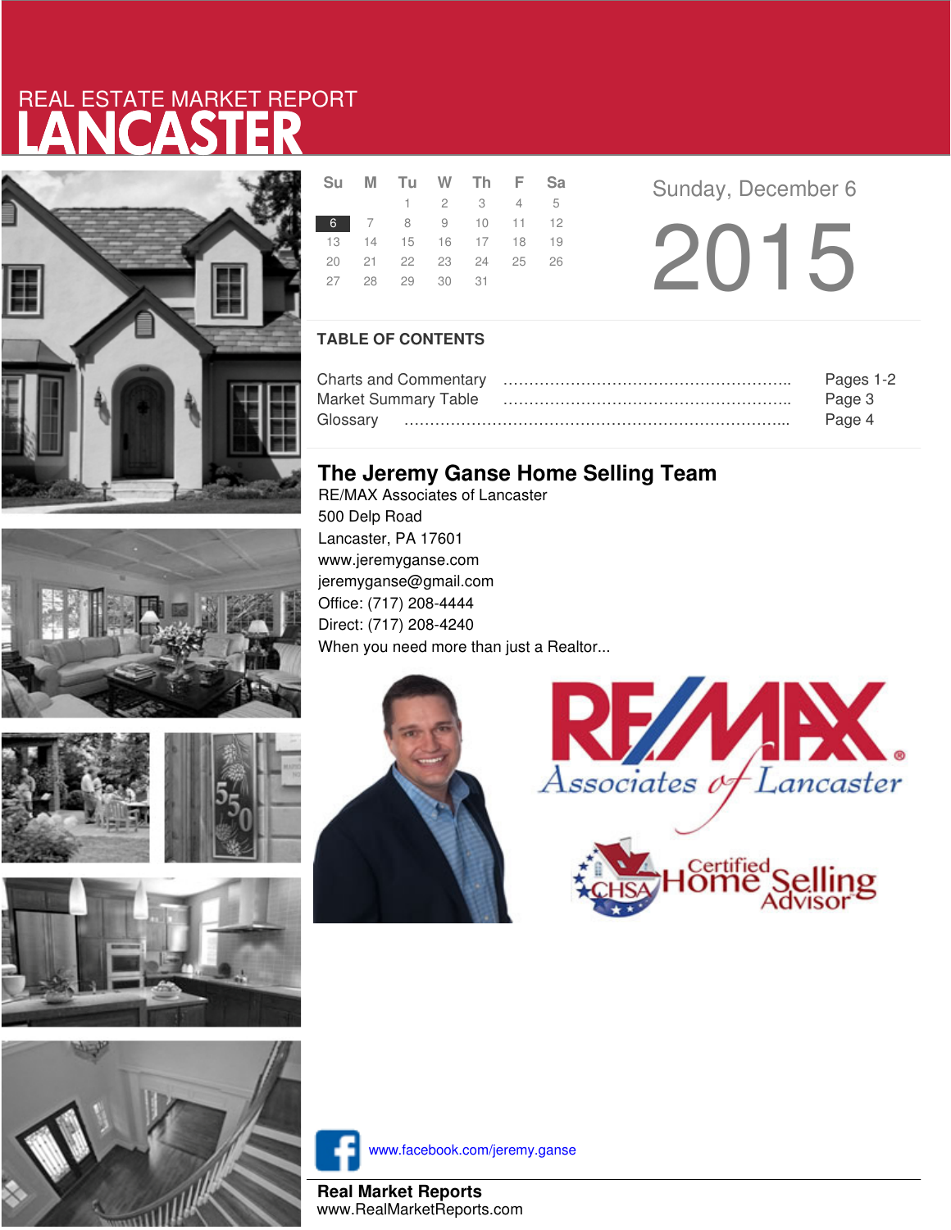# LANCASTER REAL ESTATE MARKET REPORT









|  | Su M Tu W Th F Sa    |                     |  |  |
|--|----------------------|---------------------|--|--|
|  |                      | $1 \t2 \t3 \t4 \t5$ |  |  |
|  | 6 7 8 9 10 11 12     |                     |  |  |
|  | 13 14 15 16 17 18 19 |                     |  |  |
|  | 20 21 22 23 24 25 26 |                     |  |  |
|  | 27 28 29 30 31       |                     |  |  |
|  |                      |                     |  |  |

**Sunday, December 6** 2015

### **TABLE OF CONTENTS**

|                             | Pages 1-2 |
|-----------------------------|-----------|
| <b>Market Summary Table</b> | Page 3    |
|                             | Page 4    |

## **The Jeremy Ganse Home Selling Team**

RE/MAX Associates of Lancaster 500 Delp Road Lancaster, PA 17601 www.jeremyganse.com jeremyganse@gmail.com Office: (717) 208-4444 Direct: (717) 208-4240 When you need more than just a Realtor...







www.facebook.com/jeremy.ganse

**Real Market Reports** www.RealMarketReports.com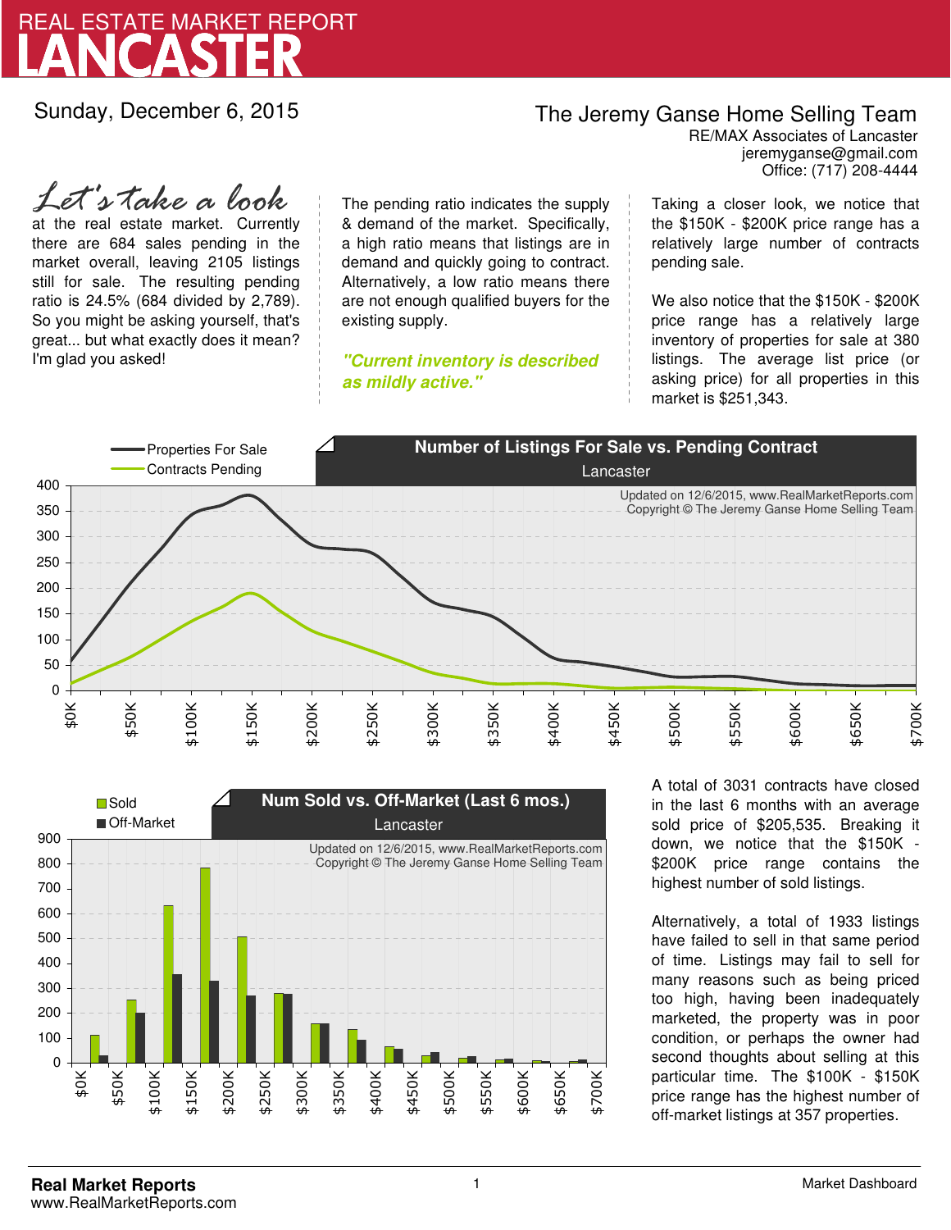

Sunday, December 6, 2015

## The Jeremy Ganse Home Selling Team

jeremyganse@gmail.com RE/MAX Associates of Lancaster Office: (717) 208-4444

at the real estate market. Currently there are 684 sales pending in the market overall, leaving 2105 listings still for sale. The resulting pending ratio is 24.5% (684 divided by 2,789). So you might be asking yourself, that's great... but what exactly does it mean? I'm glad you asked! *Let's take a look*

The pending ratio indicates the supply & demand of the market. Specifically, a high ratio means that listings are in demand and quickly going to contract. Alternatively, a low ratio means there are not enough qualified buyers for the existing supply.

**"Current inventory is described as mildly active."**

Taking a closer look, we notice that the \$150K - \$200K price range has a relatively large number of contracts pending sale.

We also notice that the \$150K - \$200K price range has a relatively large inventory of properties for sale at 380 listings. The average list price (or asking price) for all properties in this market is \$251,343.





A total of 3031 contracts have closed in the last 6 months with an average sold price of \$205,535. Breaking it down, we notice that the \$150K - \$200K price range contains the highest number of sold listings.

Alternatively, a total of 1933 listings have failed to sell in that same period of time. Listings may fail to sell for many reasons such as being priced too high, having been inadequately marketed, the property was in poor condition, or perhaps the owner had second thoughts about selling at this particular time. The \$100K - \$150K price range has the highest number of off-market listings at 357 properties.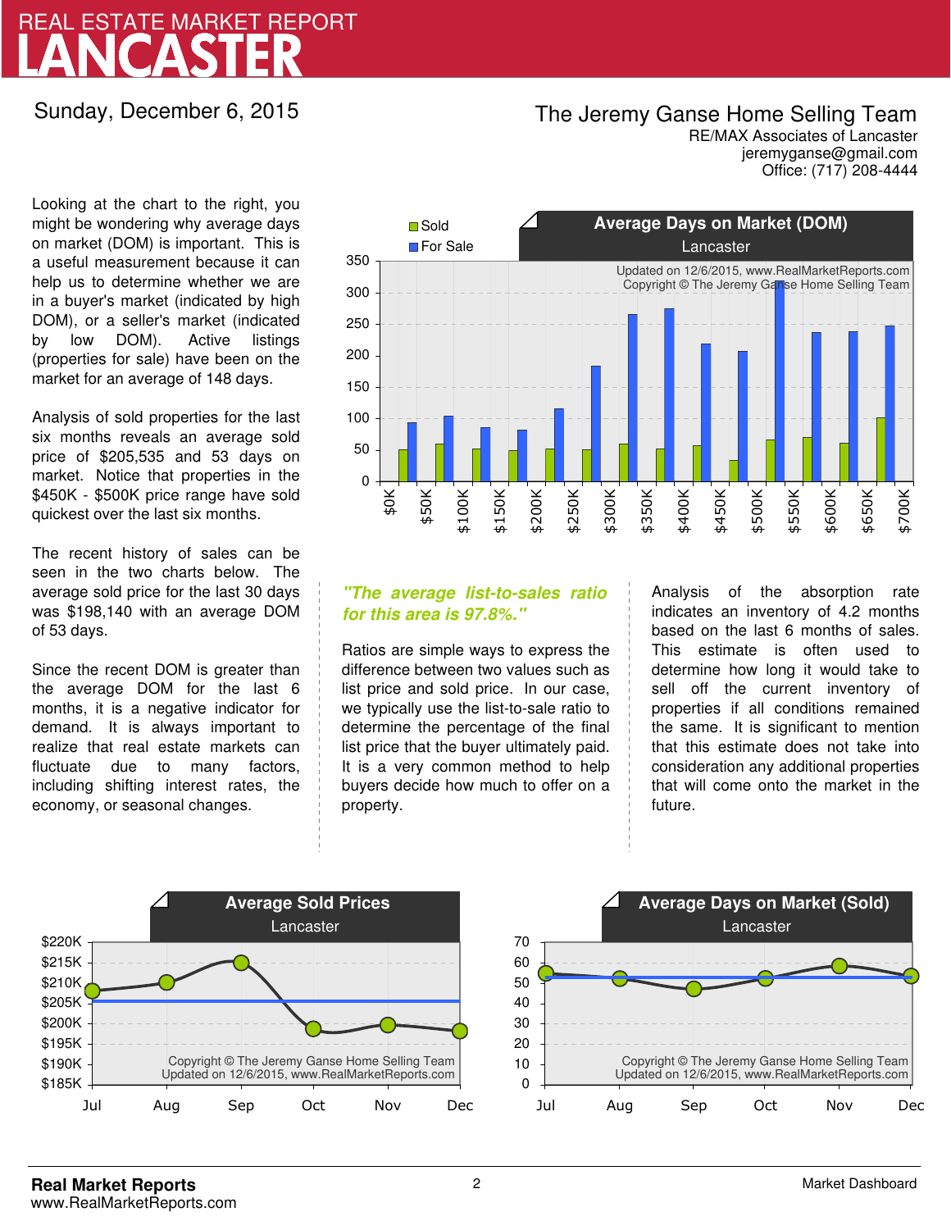# LANCASTER REAL ESTATE MARKET REPORT

Sunday, December 6, 2015

## The Jeremy Ganse Home Selling Team

jeremyganse@gmail.com RE/MAX Associates of Lancaster Office: (717) 208-4444

Looking at the chart to the right, you might be wondering why average days on market (DOM) is important. This is a useful measurement because it can help us to determine whether we are in a buyer's market (indicated by high DOM), or a seller's market (indicated by low DOM). Active listings (properties for sale) have been on the market for an average of 148 days.

Analysis of sold properties for the last six months reveals an average sold price of \$205,535 and 53 days on market. Notice that properties in the \$450K - \$500K price range have sold quickest over the last six months.

The recent history of sales can be seen in the two charts below. The average sold price for the last 30 days was \$198,140 with an average DOM of 53 days.

Since the recent DOM is greater than the average DOM for the last 6 months, it is a negative indicator for demand. It is always important to realize that real estate markets can fluctuate due to many factors, including shifting interest rates, the economy, or seasonal changes.



### **"The average list-to-sales ratio for this area is 97.8%."**

Ratios are simple ways to express the difference between two values such as list price and sold price. In our case, we typically use the list-to-sale ratio to determine the percentage of the final list price that the buyer ultimately paid. It is a very common method to help buyers decide how much to offer on a property.

Analysis of the absorption rate indicates an inventory of 4.2 months based on the last 6 months of sales. This estimate is often used to determine how long it would take to sell off the current inventory of properties if all conditions remained the same. It is significant to mention that this estimate does not take into consideration any additional properties that will come onto the market in the future.



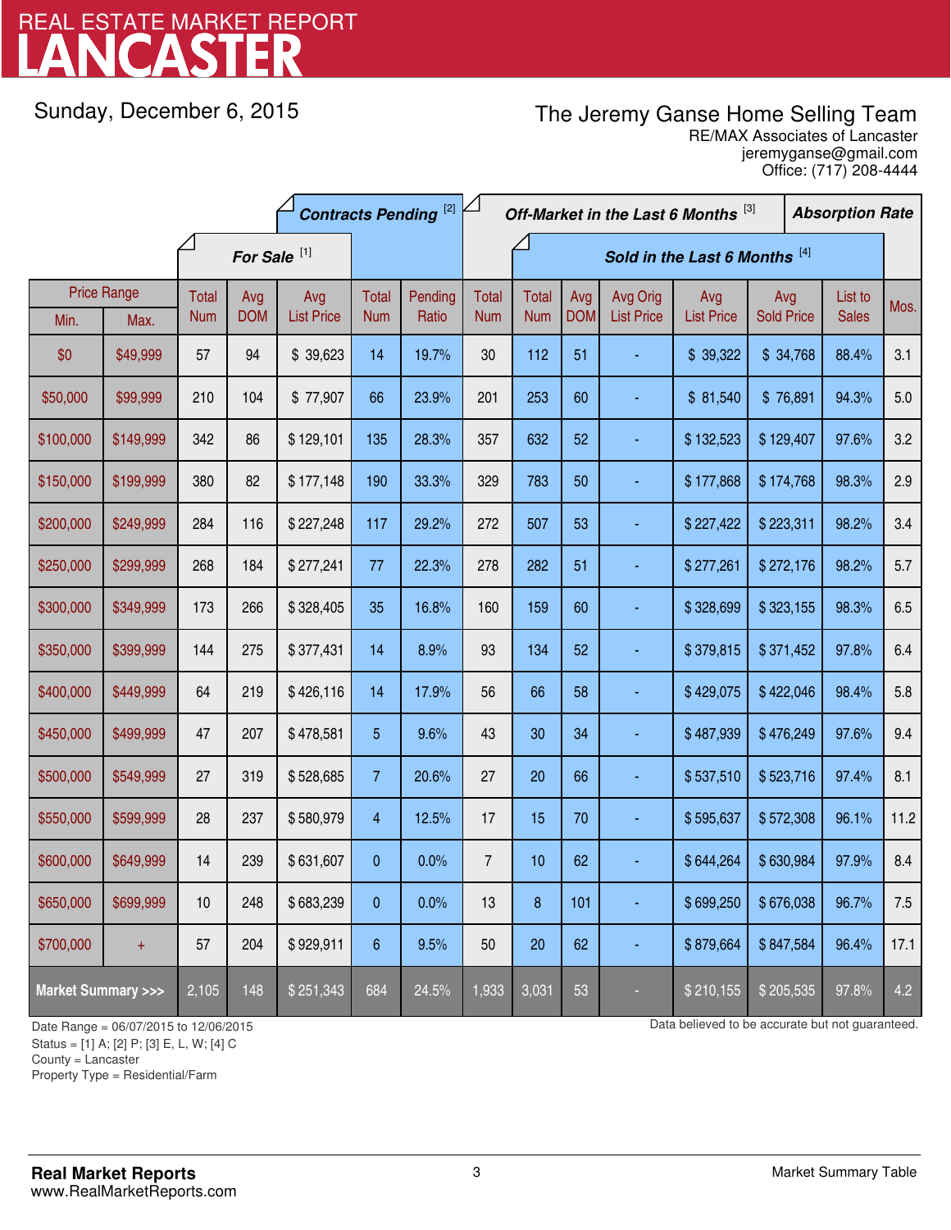# LANCASTER REAL ESTATE MARKET REPORT

Sunday, December 6, 2015

# The Jeremy Ganse Home Selling Team

jeremyganse@gmail.com RE/MAX Associates of Lancaster Office: (717) 208-4444

|                                    |                    | <b>Contracts Pending [2]</b> |            |                   |                 | Off-Market in the Last 6 Months [3] |                |              |            |                   |                   | <b>Absorption Rate</b> |  |              |      |
|------------------------------------|--------------------|------------------------------|------------|-------------------|-----------------|-------------------------------------|----------------|--------------|------------|-------------------|-------------------|------------------------|--|--------------|------|
|                                    |                    | For Sale <sup>[1]</sup>      |            |                   |                 | Sold in the Last 6 Months [4]       |                |              |            |                   |                   |                        |  |              |      |
|                                    | <b>Price Range</b> | Total                        | Avg        | Avg               | Total           | Pending                             | <b>Total</b>   | <b>Total</b> | Avg        | Avg Orig          | Avg               | Avg                    |  | List to      | Mos. |
| Min.                               | Max.               | <b>Num</b>                   | <b>DOM</b> | <b>List Price</b> | <b>Num</b>      | Ratio                               | <b>Num</b>     | <b>Num</b>   | <b>DOM</b> | <b>List Price</b> | <b>List Price</b> | <b>Sold Price</b>      |  | <b>Sales</b> |      |
| \$0                                | \$49,999           | 57                           | 94         | \$39,623          | 14              | 19.7%                               | 30             | 112          | 51         |                   | \$39,322          | \$34,768               |  | 88.4%        | 3.1  |
| \$50,000                           | \$99,999           | 210                          | 104        | \$77,907          | 66              | 23.9%                               | 201            | 253          | 60         |                   | \$81,540          | \$76,891               |  | 94.3%        | 5.0  |
| \$100,000                          | \$149,999          | 342                          | 86         | \$129,101         | 135             | 28.3%                               | 357            | 632          | 52         |                   | \$132,523         | \$129,407              |  | 97.6%        | 3.2  |
| \$150,000                          | \$199,999          | 380                          | 82         | \$177,148         | 190             | 33.3%                               | 329            | 783          | 50         |                   | \$177,868         | \$174,768              |  | 98.3%        | 2.9  |
| \$200,000                          | \$249,999          | 284                          | 116        | \$227,248         | 117             | 29.2%                               | 272            | 507          | 53         |                   | \$227,422         | \$223,311              |  | 98.2%        | 3.4  |
| \$250,000                          | \$299,999          | 268                          | 184        | \$277,241         | 77              | 22.3%                               | 278            | 282          | 51         |                   | \$277,261         | \$272,176              |  | 98.2%        | 5.7  |
| \$300,000                          | \$349,999          | 173                          | 266        | \$328,405         | 35              | 16.8%                               | 160            | 159          | 60         |                   | \$328,699         | \$323,155              |  | 98.3%        | 6.5  |
| \$350,000                          | \$399,999          | 144                          | 275        | \$377,431         | 14              | 8.9%                                | 93             | 134          | 52         |                   | \$379,815         | \$371,452              |  | 97.8%        | 6.4  |
| \$400,000                          | \$449,999          | 64                           | 219        | \$426,116         | 14              | 17.9%                               | 56             | 66           | 58         |                   | \$429,075         | \$422,046              |  | 98.4%        | 5.8  |
| \$450,000                          | \$499,999          | 47                           | 207        | \$478,581         | 5               | 9.6%                                | 43             | 30           | 34         |                   | \$487,939         | \$476,249              |  | 97.6%        | 9.4  |
| \$500,000                          | \$549,999          | 27                           | 319        | \$528,685         | $\overline{7}$  | 20.6%                               | 27             | 20           | 66         |                   | \$537,510         | \$523,716              |  | 97.4%        | 8.1  |
| \$550,000                          | \$599,999          | 28                           | 237        | \$580,979         | 4               | 12.5%                               | 17             | 15           | 70         |                   | \$595,637         | \$572,308              |  | 96.1%        | 11.2 |
| \$600,000                          | \$649,999          | 14                           | 239        | \$631,607         | $\pmb{0}$       | 0.0%                                | $\overline{7}$ | 10           | 62         |                   | \$644,264         | \$630,984              |  | 97.9%        | 8.4  |
| \$650,000                          | \$699,999          | 10                           | 248        | \$683,239         | $\pmb{0}$       | 0.0%                                | 13             | 8            | 101        |                   | \$699,250         | \$676,038              |  | 96.7%        | 7.5  |
| \$700,000                          | $+$                | 57                           | 204        | \$929,911         | $6\phantom{.}6$ | 9.5%                                | 50             | 20           | 62         |                   | \$879,664         | \$847,584              |  | 96.4%        | 17.1 |
| <b>Market Summary &gt;&gt;&gt;</b> |                    | 2,105                        | 148        | \$251,343         | 684             | 24.5%                               | 1,933          | 3,031        | 53         |                   | \$210,155         | \$205,535              |  | 97.8%        | 4.2  |

Status = [1] A; [2] P; [3] E, L, W; [4] C

County = Lancaster

1

Property Type = Residential/Farm

Date Range = 06/07/2015 to 12/06/2015 Compared to be accurate but not guaranteed.